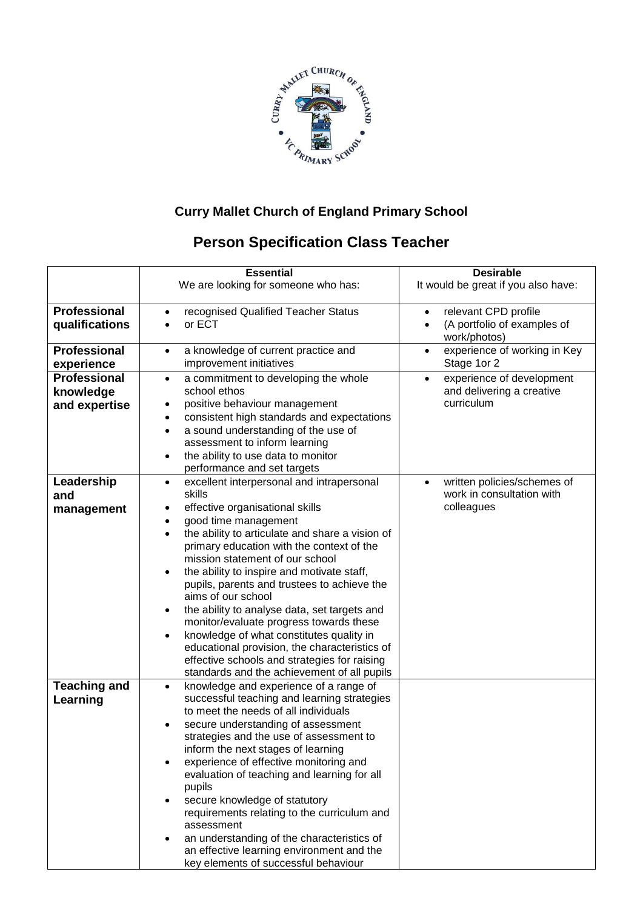

## **Curry Mallet Church of England Primary School**

## **Person Specification Class Teacher**

|                                                   | <b>Essential</b><br>We are looking for someone who has:                                                                                                                                                                                                                                                                                                                                                                                                                                                                                                                                                                                                                                                                   | <b>Desirable</b><br>It would be great if you also have:                             |
|---------------------------------------------------|---------------------------------------------------------------------------------------------------------------------------------------------------------------------------------------------------------------------------------------------------------------------------------------------------------------------------------------------------------------------------------------------------------------------------------------------------------------------------------------------------------------------------------------------------------------------------------------------------------------------------------------------------------------------------------------------------------------------------|-------------------------------------------------------------------------------------|
| <b>Professional</b><br>qualifications             | recognised Qualified Teacher Status<br>٠<br>or ECT                                                                                                                                                                                                                                                                                                                                                                                                                                                                                                                                                                                                                                                                        | relevant CPD profile<br>$\bullet$<br>(A portfolio of examples of<br>work/photos)    |
| <b>Professional</b><br>experience                 | a knowledge of current practice and<br>$\bullet$<br>improvement initiatives                                                                                                                                                                                                                                                                                                                                                                                                                                                                                                                                                                                                                                               | experience of working in Key<br>$\bullet$<br>Stage 1or 2                            |
| <b>Professional</b><br>knowledge<br>and expertise | a commitment to developing the whole<br>$\bullet$<br>school ethos<br>positive behaviour management<br>٠<br>consistent high standards and expectations<br>٠<br>a sound understanding of the use of<br>$\bullet$<br>assessment to inform learning<br>the ability to use data to monitor<br>performance and set targets                                                                                                                                                                                                                                                                                                                                                                                                      | experience of development<br>$\bullet$<br>and delivering a creative<br>curriculum   |
| Leadership<br>and<br>management                   | excellent interpersonal and intrapersonal<br>$\bullet$<br>skills<br>effective organisational skills<br>$\bullet$<br>good time management<br>٠<br>the ability to articulate and share a vision of<br>$\bullet$<br>primary education with the context of the<br>mission statement of our school<br>the ability to inspire and motivate staff,<br>٠<br>pupils, parents and trustees to achieve the<br>aims of our school<br>the ability to analyse data, set targets and<br>monitor/evaluate progress towards these<br>knowledge of what constitutes quality in<br>$\bullet$<br>educational provision, the characteristics of<br>effective schools and strategies for raising<br>standards and the achievement of all pupils | written policies/schemes of<br>$\bullet$<br>work in consultation with<br>colleagues |
| <b>Teaching and</b><br>Learning                   | knowledge and experience of a range of<br>$\bullet$<br>successful teaching and learning strategies<br>to meet the needs of all individuals<br>secure understanding of assessment<br>$\bullet$<br>strategies and the use of assessment to<br>inform the next stages of learning<br>experience of effective monitoring and<br>٠<br>evaluation of teaching and learning for all<br>pupils<br>secure knowledge of statutory<br>requirements relating to the curriculum and<br>assessment<br>an understanding of the characteristics of<br>an effective learning environment and the<br>key elements of successful behaviour                                                                                                   |                                                                                     |